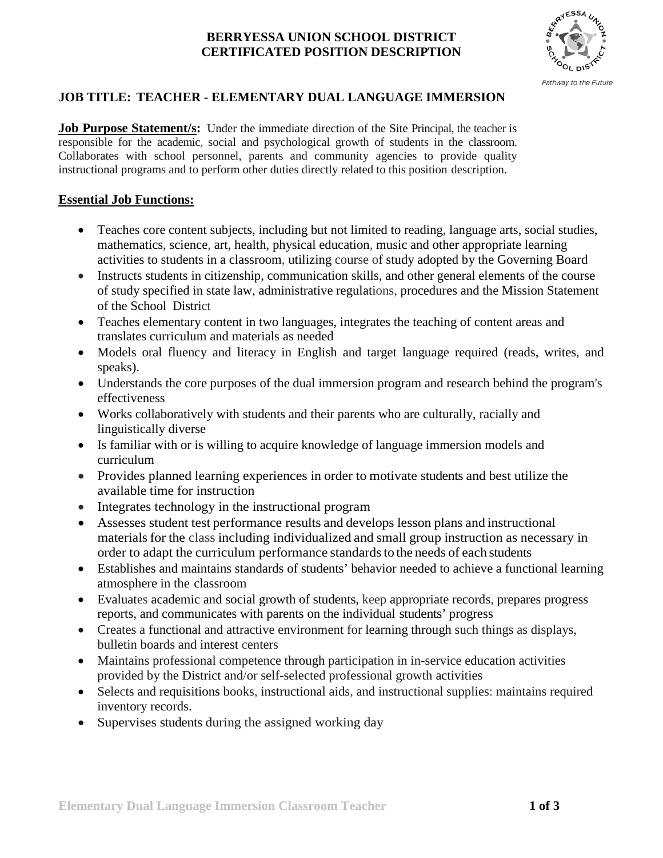### **BERRYESSA UNION SCHOOL DISTRICT CERTIFICATED POSITION DESCRIPTION**



## **JOB TITLE: TEACHER - ELEMENTARY DUAL LANGUAGE IMMERSION**

Job Purpose Statement/s: Under the immediate direction of the Site Principal, the teacher is responsible for the academic, social and psychological growth of students in the classroom. Collaborates with school personnel, parents and community agencies to provide quality instructional programs and to perform other duties directly related to this position description.

### **Essential Job Functions:**

- Teaches core content subjects, including but not limited to reading, language arts, social studies, mathematics, science, art, health, physical education, music and other appropriate learning activities to students in a classroom, utilizing course of study adopted by the Governing Board
- Instructs students in citizenship, communication skills, and other general elements of the course of study specified in state law, administrative regulations, procedures and the Mission Statement of the School District
- Teaches elementary content in two languages, integrates the teaching of content areas and translates curriculum and materials as needed
- Models oral fluency and literacy in English and target language required (reads, writes, and speaks).
- Understands the core purposes of the dual immersion program and research behind the program's effectiveness
- Works collaboratively with students and their parents who are culturally, racially and linguistically diverse
- Is familiar with or is willing to acquire knowledge of language immersion models and curriculum
- Provides planned learning experiences in order to motivate students and best utilize the available time for instruction
- Integrates technology in the instructional program
- Assesses student test performance results and develops lesson plans and instructional materials for the class including individualized and small group instruction as necessary in order to adapt the curriculum performance standards to the needs of each students
- Establishes and maintains standards of students' behavior needed to achieve a functional learning atmosphere in the classroom
- Evaluates academic and social growth of students, keep appropriate records, prepares progress reports, and communicates with parents on the individual students' progress
- Creates a functional and attractive environment for learning through such things as displays, bulletin boards and interest centers
- Maintains professional competence through participation in in-service education activities provided by the District and/or self-selected professional growth activities
- Selects and requisitions books, instructional aids, and instructional supplies: maintains required inventory records.
- Supervises students during the assigned working day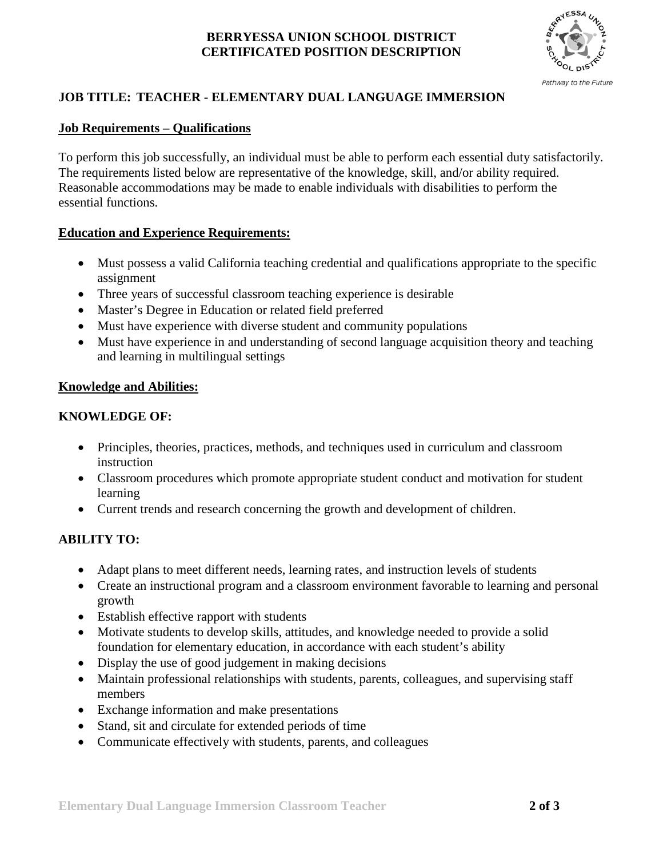### **BERRYESSA UNION SCHOOL DISTRICT CERTIFICATED POSITION DESCRIPTION**



# **JOB TITLE: TEACHER - ELEMENTARY DUAL LANGUAGE IMMERSION**

## **Job Requirements – Qualifications**

To perform this job successfully, an individual must be able to perform each essential duty satisfactorily. The requirements listed below are representative of the knowledge, skill, and/or ability required. Reasonable accommodations may be made to enable individuals with disabilities to perform the essential functions.

### **Education and Experience Requirements:**

- Must possess a valid California teaching credential and qualifications appropriate to the specific assignment
- Three years of successful classroom teaching experience is desirable
- Master's Degree in Education or related field preferred
- Must have experience with diverse student and community populations
- Must have experience in and understanding of second language acquisition theory and teaching and learning in multilingual settings

### **Knowledge and Abilities:**

### **KNOWLEDGE OF:**

- Principles, theories, practices, methods, and techniques used in curriculum and classroom instruction
- Classroom procedures which promote appropriate student conduct and motivation for student learning
- Current trends and research concerning the growth and development of children.

# **ABILITY TO:**

- Adapt plans to meet different needs, learning rates, and instruction levels of students
- Create an instructional program and a classroom environment favorable to learning and personal growth
- Establish effective rapport with students
- Motivate students to develop skills, attitudes, and knowledge needed to provide a solid foundation for elementary education, in accordance with each student's ability
- Display the use of good judgement in making decisions
- Maintain professional relationships with students, parents, colleagues, and supervising staff members
- Exchange information and make presentations
- Stand, sit and circulate for extended periods of time
- Communicate effectively with students, parents, and colleagues